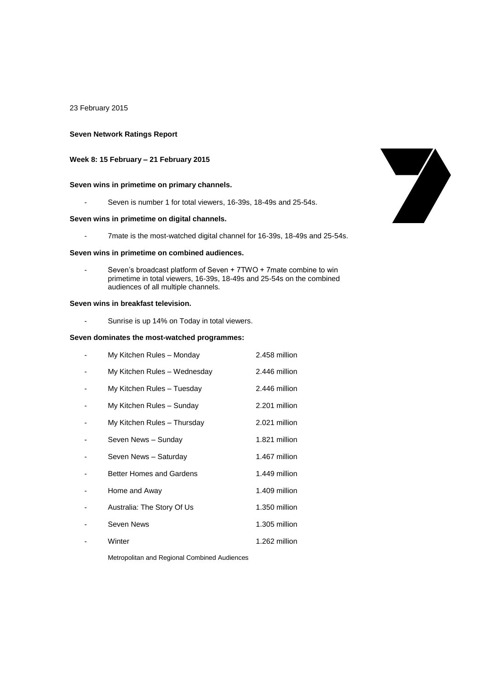### 23 February 2015

### **Seven Network Ratings Report**

# **Week 8: 15 February – 21 February 2015**

## **Seven wins in primetime on primary channels.**

- Seven is number 1 for total viewers, 16-39s, 18-49s and 25-54s.

## **Seven wins in primetime on digital channels.**

- 7mate is the most-watched digital channel for 16-39s, 18-49s and 25-54s.

#### **Seven wins in primetime on combined audiences.**

Seven's broadcast platform of Seven + 7TWO + 7mate combine to win primetime in total viewers, 16-39s, 18-49s and 25-54s on the combined audiences of all multiple channels.

### **Seven wins in breakfast television.**

- Sunrise is up 14% on Today in total viewers.

### **Seven dominates the most-watched programmes:**

| My Kitchen Rules - Monday       | 2.458 million |
|---------------------------------|---------------|
| My Kitchen Rules - Wednesday    | 2.446 million |
| My Kitchen Rules - Tuesday      | 2.446 million |
| My Kitchen Rules - Sunday       | 2.201 million |
| My Kitchen Rules - Thursday     | 2.021 million |
| Seven News - Sunday             | 1.821 million |
| Seven News - Saturday           | 1.467 million |
| <b>Better Homes and Gardens</b> | 1.449 million |
| Home and Away                   | 1.409 million |
| Australia: The Story Of Us      | 1.350 million |
| Seven News                      | 1.305 million |
| Winter                          | 1.262 million |

Metropolitan and Regional Combined Audiences

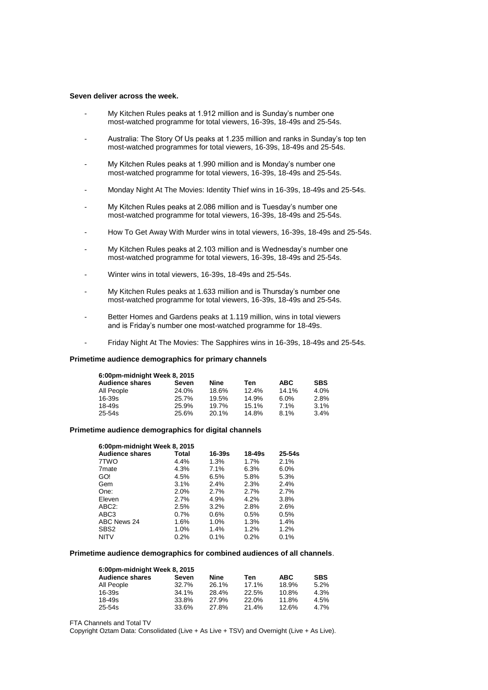#### **Seven deliver across the week.**

- My Kitchen Rules peaks at 1.912 million and is Sunday's number one most-watched programme for total viewers, 16-39s, 18-49s and 25-54s.
- Australia: The Story Of Us peaks at 1.235 million and ranks in Sunday's top ten most-watched programmes for total viewers, 16-39s, 18-49s and 25-54s.
- My Kitchen Rules peaks at 1.990 million and is Monday's number one most-watched programme for total viewers, 16-39s, 18-49s and 25-54s.
- Monday Night At The Movies: Identity Thief wins in 16-39s, 18-49s and 25-54s.
- My Kitchen Rules peaks at 2.086 million and is Tuesday's number one most-watched programme for total viewers, 16-39s, 18-49s and 25-54s.
- How To Get Away With Murder wins in total viewers, 16-39s, 18-49s and 25-54s.
- My Kitchen Rules peaks at 2.103 million and is Wednesday's number one most-watched programme for total viewers, 16-39s, 18-49s and 25-54s.
- Winter wins in total viewers, 16-39s, 18-49s and 25-54s.
- My Kitchen Rules peaks at 1.633 million and is Thursday's number one most-watched programme for total viewers, 16-39s, 18-49s and 25-54s.
- Better Homes and Gardens peaks at 1.119 million, wins in total viewers and is Friday's number one most-watched programme for 18-49s.
- Friday Night At The Movies: The Sapphires wins in 16-39s, 18-49s and 25-54s.

#### **Primetime audience demographics for primary channels**

| 6:00pm-midnight Week 8, 2015 |       |       |       |            |            |  |
|------------------------------|-------|-------|-------|------------|------------|--|
| <b>Audience shares</b>       | Seven | Nine  | Ten   | <b>ABC</b> | <b>SBS</b> |  |
| All People                   | 24.0% | 18.6% | 12.4% | 14.1%      | 4.0%       |  |
| $16 - 39s$                   | 25.7% | 19.5% | 14.9% | 6.0%       | 2.8%       |  |
| $18 - 49s$                   | 25.9% | 19.7% | 15.1% | 7.1%       | 3.1%       |  |
| $25 - 54s$                   | 25.6% | 20.1% | 14.8% | 8.1%       | 3.4%       |  |

#### **Primetime audience demographics for digital channels**

| 6:00pm-midnight Week 8, 2015 |            |            |            |  |  |
|------------------------------|------------|------------|------------|--|--|
| Total                        | $16 - 39s$ | $18 - 49s$ | $25 - 54s$ |  |  |
| 4.4%                         | $1.3\%$    | 1.7%       | 2.1%       |  |  |
| 4.3%                         | 7.1%       | 6.3%       | 6.0%       |  |  |
| 4.5%                         | 6.5%       | 5.8%       | 5.3%       |  |  |
| 3.1%                         | 2.4%       | 2.3%       | 2.4%       |  |  |
| 2.0%                         | 2.7%       | 2.7%       | 2.7%       |  |  |
| 2.7%                         | 4.9%       | 4.2%       | 3.8%       |  |  |
| 2.5%                         | 3.2%       | 2.8%       | 2.6%       |  |  |
| 0.7%                         | 0.6%       | 0.5%       | 0.5%       |  |  |
| 1.6%                         | $1.0\%$    | 1.3%       | 1.4%       |  |  |
| 1.0%                         | 1.4%       | 1.2%       | 1.2%       |  |  |
| 0.2%                         | 0.1%       | 0.2%       | 0.1%       |  |  |
|                              |            |            |            |  |  |

#### **Primetime audience demographics for combined audiences of all channels**.

| 6:00pm-midnight Week 8, 2015 |       |       |       |            |            |
|------------------------------|-------|-------|-------|------------|------------|
| <b>Audience shares</b>       | Seven | Nine  | Ten   | <b>ABC</b> | <b>SBS</b> |
| All People                   | 32.7% | 26.1% | 17.1% | 18.9%      | 5.2%       |
| $16 - 39s$                   | 34.1% | 28.4% | 22.5% | 10.8%      | 4.3%       |
| 18-49s                       | 33.8% | 27.9% | 22.0% | 11.8%      | 4.5%       |
| 25-54s                       | 33.6% | 27.8% | 21.4% | 12.6%      | 4.7%       |

FTA Channels and Total TV

Copyright Oztam Data: Consolidated (Live + As Live + TSV) and Overnight (Live + As Live).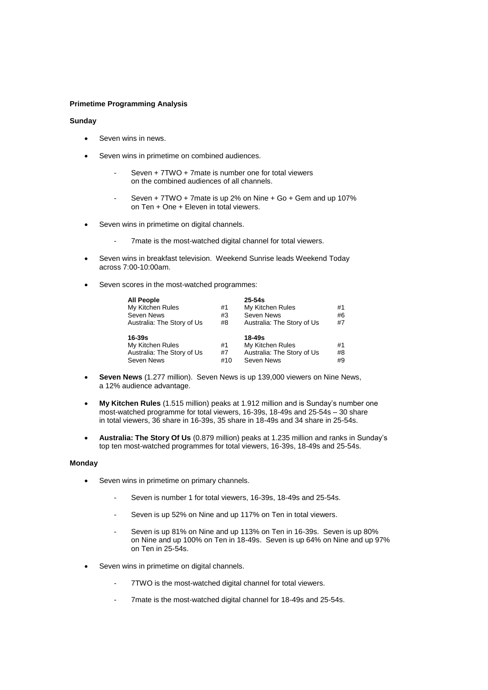## **Primetime Programming Analysis**

## **Sunday**

- Seven wins in news.
- Seven wins in primetime on combined audiences.
	- Seven + 7TWO + 7mate is number one for total viewers on the combined audiences of all channels.
	- Seven +  $7TWO + 7$  mate is up 2% on Nine +  $Go + Gem$  and up 107% on Ten + One + Eleven in total viewers.
- Seven wins in primetime on digital channels.
	- 7mate is the most-watched digital channel for total viewers.
- Seven wins in breakfast television. Weekend Sunrise leads Weekend Today across 7:00-10:00am.
- Seven scores in the most-watched programmes:

| <b>All People</b>          |     | $25 - 54s$                 |    |
|----------------------------|-----|----------------------------|----|
| My Kitchen Rules           | #1  | My Kitchen Rules           | #1 |
| Seven News                 | #3  | Seven News                 | #6 |
| Australia: The Story of Us | #8  | Australia: The Story of Us | #7 |
| 16-39s                     |     | $18 - 49s$                 |    |
| My Kitchen Rules           | #1  | My Kitchen Rules           | #1 |
| Australia: The Story of Us | #7  | Australia: The Story of Us | #8 |
| Seven News                 | #10 | Seven News                 | #9 |

- **Seven News** (1.277 million). Seven News is up 139,000 viewers on Nine News. a 12% audience advantage.
- **My Kitchen Rules** (1.515 million) peaks at 1.912 million and is Sunday's number one most-watched programme for total viewers, 16-39s, 18-49s and 25-54s – 30 share in total viewers, 36 share in 16-39s, 35 share in 18-49s and 34 share in 25-54s.
- **Australia: The Story Of Us** (0.879 million) peaks at 1.235 million and ranks in Sunday's top ten most-watched programmes for total viewers, 16-39s, 18-49s and 25-54s.

### **Monday**

- Seven wins in primetime on primary channels.
	- Seven is number 1 for total viewers, 16-39s, 18-49s and 25-54s.
	- Seven is up 52% on Nine and up 117% on Ten in total viewers.
	- Seven is up 81% on Nine and up 113% on Ten in 16-39s. Seven is up 80% on Nine and up 100% on Ten in 18-49s. Seven is up 64% on Nine and up 97% on Ten in 25-54s.
- Seven wins in primetime on digital channels.
	- 7TWO is the most-watched digital channel for total viewers.
	- 7mate is the most-watched digital channel for 18-49s and 25-54s.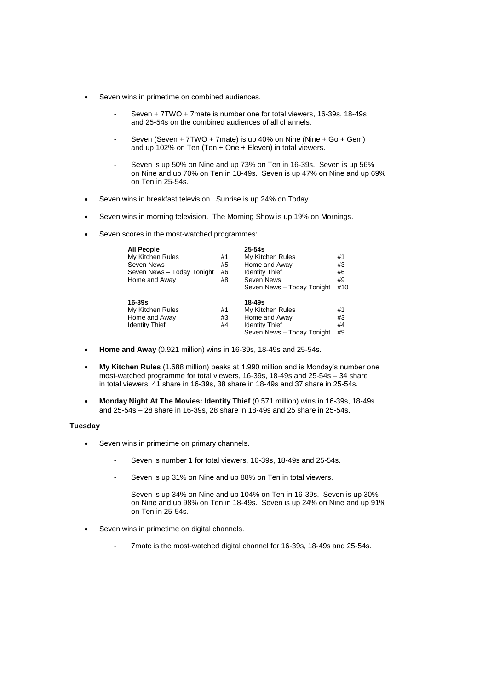- Seven wins in primetime on combined audiences.
	- Seven + 7TWO + 7mate is number one for total viewers, 16-39s, 18-49s and 25-54s on the combined audiences of all channels.
	- Seven (Seven + 7TWO + 7mate) is up 40% on Nine (Nine + Go + Gem) and up 102% on Ten (Ten + One + Eleven) in total viewers.
	- Seven is up 50% on Nine and up 73% on Ten in 16-39s. Seven is up 56% on Nine and up 70% on Ten in 18-49s. Seven is up 47% on Nine and up 69% on Ten in 25-54s.
- Seven wins in breakfast television. Sunrise is up 24% on Today.
- Seven wins in morning television. The Morning Show is up 19% on Mornings.
- Seven scores in the most-watched programmes:

| <b>All People</b><br>My Kitchen Rules<br>Seven News<br>Seven News - Today Tonight<br>Home and Away | #1<br>#5<br>#6<br>#8 | $25 - 54s$<br>My Kitchen Rules<br>Home and Away<br><b>Identity Thief</b><br>Seven News<br>Seven News - Today Tonight | #1<br>#3<br>#6<br>#9<br>#10 |
|----------------------------------------------------------------------------------------------------|----------------------|----------------------------------------------------------------------------------------------------------------------|-----------------------------|
| 16-39s<br>My Kitchen Rules<br>Home and Away<br><b>Identity Thief</b>                               | #1<br>#3<br>#4       | 18-49s<br>My Kitchen Rules<br>Home and Away<br><b>Identity Thief</b><br>Seven News - Today Tonight                   | #1<br>#3<br>#4<br>#9        |

- **Home and Away** (0.921 million) wins in 16-39s, 18-49s and 25-54s.
- **My Kitchen Rules** (1.688 million) peaks at 1.990 million and is Monday's number one most-watched programme for total viewers, 16-39s, 18-49s and 25-54s – 34 share in total viewers, 41 share in 16-39s, 38 share in 18-49s and 37 share in 25-54s.
- **Monday Night At The Movies: Identity Thief** (0.571 million) wins in 16-39s, 18-49s and 25-54s – 28 share in 16-39s, 28 share in 18-49s and 25 share in 25-54s.

# **Tuesday**

- Seven wins in primetime on primary channels.
	- Seven is number 1 for total viewers, 16-39s, 18-49s and 25-54s.
	- Seven is up 31% on Nine and up 88% on Ten in total viewers.
	- Seven is up 34% on Nine and up 104% on Ten in 16-39s. Seven is up 30% on Nine and up 98% on Ten in 18-49s. Seven is up 24% on Nine and up 91% on Ten in 25-54s.
- Seven wins in primetime on digital channels.
	- 7mate is the most-watched digital channel for 16-39s, 18-49s and 25-54s.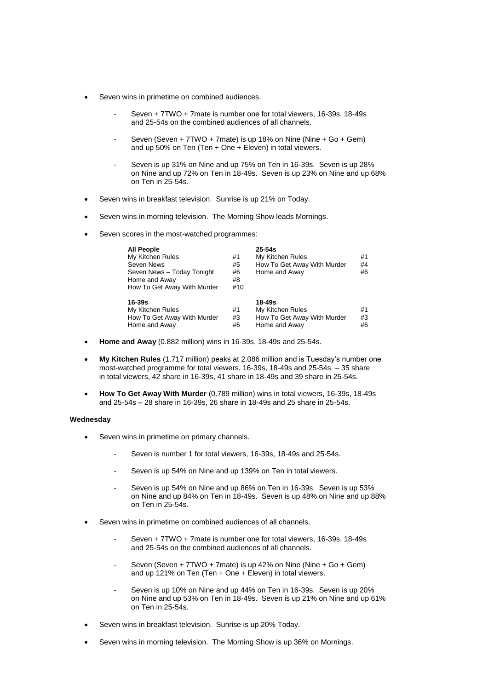- Seven wins in primetime on combined audiences.
	- Seven + 7TWO + 7mate is number one for total viewers, 16-39s, 18-49s and 25-54s on the combined audiences of all channels.
	- Seven (Seven + 7TWO + 7mate) is up 18% on Nine (Nine + Go + Gem) and up 50% on Ten (Ten + One + Eleven) in total viewers.
	- Seven is up 31% on Nine and up 75% on Ten in 16-39s. Seven is up 28% on Nine and up 72% on Ten in 18-49s. Seven is up 23% on Nine and up 68% on Ten in 25-54s.
- Seven wins in breakfast television. Sunrise is up 21% on Today.
- Seven wins in morning television. The Morning Show leads Mornings.
- Seven scores in the most-watched programmes:

| <b>All People</b><br>My Kitchen Rules<br>Seven News<br>Seven News - Today Tonight<br>Home and Away<br>How To Get Away With Murder | #1<br>#5<br>#6<br>#8<br>#10 | $25 - 54s$<br>My Kitchen Rules<br>How To Get Away With Murder<br>Home and Away | #1<br>#4<br>#6 |
|-----------------------------------------------------------------------------------------------------------------------------------|-----------------------------|--------------------------------------------------------------------------------|----------------|
| $16 - 39s$<br>My Kitchen Rules<br>How To Get Away With Murder<br>Home and Away                                                    | #1<br>#3<br>#6              | 18-49s<br>My Kitchen Rules<br>How To Get Away With Murder<br>Home and Away     | #1<br>#3<br>#6 |

- **Home and Away** (0.882 million) wins in 16-39s, 18-49s and 25-54s.
- **My Kitchen Rules** (1.717 million) peaks at 2.086 million and is Tuesday's number one most-watched programme for total viewers, 16-39s, 18-49s and 25-54s. – 35 share in total viewers, 42 share in 16-39s, 41 share in 18-49s and 39 share in 25-54s.
- **How To Get Away With Murder** (0.789 million) wins in total viewers, 16-39s, 18-49s and 25-54s – 28 share in 16-39s, 26 share in 18-49s and 25 share in 25-54s.

## **Wednesday**

- Seven wins in primetime on primary channels.
	- Seven is number 1 for total viewers, 16-39s, 18-49s and 25-54s.
	- Seven is up 54% on Nine and up 139% on Ten in total viewers.
	- Seven is up 54% on Nine and up 86% on Ten in 16-39s. Seven is up 53% on Nine and up 84% on Ten in 18-49s. Seven is up 48% on Nine and up 88% on Ten in 25-54s.
- Seven wins in primetime on combined audiences of all channels.
	- Seven + 7TWO + 7mate is number one for total viewers, 16-39s, 18-49s and 25-54s on the combined audiences of all channels.
	- Seven (Seven + 7TWO + 7mate) is up 42% on Nine (Nine + Go + Gem) and up 121% on Ten (Ten + One + Eleven) in total viewers.
	- Seven is up 10% on Nine and up 44% on Ten in 16-39s. Seven is up 20% on Nine and up 53% on Ten in 18-49s. Seven is up 21% on Nine and up 61% on Ten in 25-54s.
- Seven wins in breakfast television. Sunrise is up 20% Today.
- Seven wins in morning television. The Morning Show is up 36% on Mornings.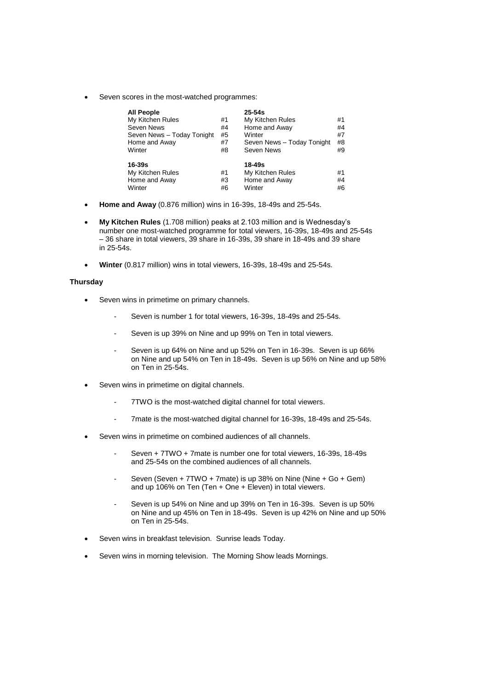Seven scores in the most-watched programmes:

| <b>All People</b><br>My Kitchen Rules<br>Seven News<br>Seven News - Today Tonight<br>Home and Away<br>Winter | #1<br>#4<br>#5<br>#7<br>#8 | $25 - 54s$<br>My Kitchen Rules<br>Home and Away<br>Winter<br>Seven News - Today Tonight<br>Seven News | #1<br>#4<br>#7<br>#8<br>#9 |
|--------------------------------------------------------------------------------------------------------------|----------------------------|-------------------------------------------------------------------------------------------------------|----------------------------|
| 16-39s<br>My Kitchen Rules<br>Home and Away<br>Winter                                                        | #1<br>#3<br>#6             | 18-49s<br>My Kitchen Rules<br>Home and Away<br>Winter                                                 | #1<br>#4<br>#6             |

- **Home and Away** (0.876 million) wins in 16-39s, 18-49s and 25-54s.
- **My Kitchen Rules** (1.708 million) peaks at 2.103 million and is Wednesday's number one most-watched programme for total viewers, 16-39s, 18-49s and 25-54s – 36 share in total viewers, 39 share in 16-39s, 39 share in 18-49s and 39 share in 25-54s.
- **Winter** (0.817 million) wins in total viewers, 16-39s, 18-49s and 25-54s.

## **Thursday**

- Seven wins in primetime on primary channels.
	- Seven is number 1 for total viewers, 16-39s, 18-49s and 25-54s.
	- Seven is up 39% on Nine and up 99% on Ten in total viewers.
	- Seven is up 64% on Nine and up 52% on Ten in 16-39s. Seven is up 66% on Nine and up 54% on Ten in 18-49s. Seven is up 56% on Nine and up 58% on Ten in 25-54s.
- Seven wins in primetime on digital channels.
	- 7TWO is the most-watched digital channel for total viewers.
	- 7mate is the most-watched digital channel for 16-39s, 18-49s and 25-54s.
- Seven wins in primetime on combined audiences of all channels.
	- Seven + 7TWO + 7mate is number one for total viewers, 16-39s, 18-49s and 25-54s on the combined audiences of all channels.
	- Seven (Seven + 7TWO + 7mate) is up 38% on Nine (Nine + Go + Gem) and up 106% on Ten (Ten + One + Eleven) in total viewers.
	- Seven is up 54% on Nine and up 39% on Ten in 16-39s. Seven is up 50% on Nine and up 45% on Ten in 18-49s. Seven is up 42% on Nine and up 50% on Ten in 25-54s.
- Seven wins in breakfast television. Sunrise leads Today.
- Seven wins in morning television. The Morning Show leads Mornings.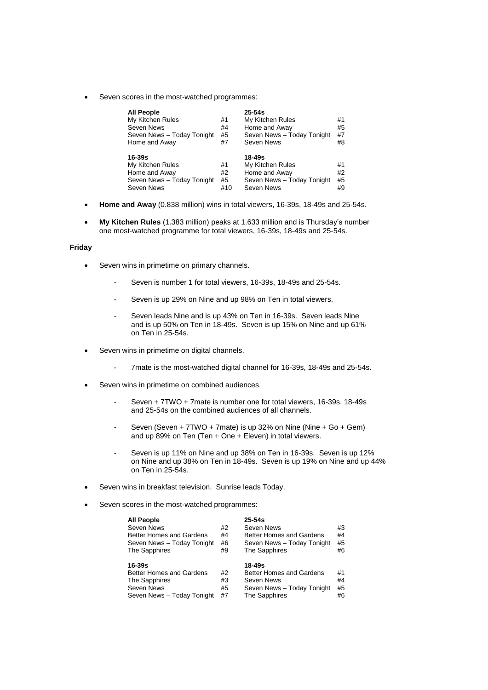Seven scores in the most-watched programmes:

| <b>All People</b><br>My Kitchen Rules<br>Seven News<br>Seven News - Today Tonight<br>Home and Away | #1<br>#4<br>#5<br>#7 | $25 - 54s$<br>My Kitchen Rules<br>Home and Away<br>Seven News - Today Tonight<br>Seven News | #1<br>#5<br>#7<br>#8 |
|----------------------------------------------------------------------------------------------------|----------------------|---------------------------------------------------------------------------------------------|----------------------|
| 16-39s                                                                                             |                      | 18-49s                                                                                      |                      |
| My Kitchen Rules                                                                                   | #1                   | My Kitchen Rules                                                                            | #1                   |
| Home and Away                                                                                      | #2                   | Home and Away                                                                               | #2                   |
| Seven News - Today Tonight                                                                         | #5                   | Seven News - Today Tonight                                                                  | #5                   |
| Seven News                                                                                         | #10                  | Seven News                                                                                  | #9                   |

- **Home and Away** (0.838 million) wins in total viewers, 16-39s, 18-49s and 25-54s.
- **My Kitchen Rules** (1.383 million) peaks at 1.633 million and is Thursday's number one most-watched programme for total viewers, 16-39s, 18-49s and 25-54s.

## **Friday**

- Seven wins in primetime on primary channels.
	- Seven is number 1 for total viewers, 16-39s, 18-49s and 25-54s.
	- Seven is up 29% on Nine and up 98% on Ten in total viewers.
	- Seven leads Nine and is up 43% on Ten in 16-39s. Seven leads Nine and is up 50% on Ten in 18-49s. Seven is up 15% on Nine and up 61% on Ten in 25-54s.
- Seven wins in primetime on digital channels.
	- 7mate is the most-watched digital channel for 16-39s, 18-49s and 25-54s.
- Seven wins in primetime on combined audiences.
	- Seven + 7TWO + 7mate is number one for total viewers, 16-39s, 18-49s and 25-54s on the combined audiences of all channels.
	- Seven (Seven + 7TWO + 7mate) is up 32% on Nine (Nine + Go + Gem) and up 89% on Ten (Ten + One + Eleven) in total viewers.
	- Seven is up 11% on Nine and up 38% on Ten in 16-39s. Seven is up 12% on Nine and up 38% on Ten in 18-49s. Seven is up 19% on Nine and up 44% on Ten in 25-54s.
- Seven wins in breakfast television. Sunrise leads Today.
- Seven scores in the most-watched programmes:

| <b>All People</b>          |    | $25 - 54s$                      |    |
|----------------------------|----|---------------------------------|----|
| Seven News                 | #2 | Seven News                      | #3 |
| Better Homes and Gardens   | #4 | <b>Better Homes and Gardens</b> | #4 |
| Seven News - Today Tonight | #6 | Seven News - Today Tonight      | #5 |
| The Sapphires              | #9 | The Sapphires                   | #6 |
|                            |    |                                 |    |
|                            |    |                                 |    |
| 16-39s                     |    | 18-49s                          |    |
| Better Homes and Gardens   | #2 | <b>Better Homes and Gardens</b> | #1 |
| The Sapphires              | #3 | Seven News                      | #4 |
| Seven News                 | #5 | Seven News - Today Tonight      | #5 |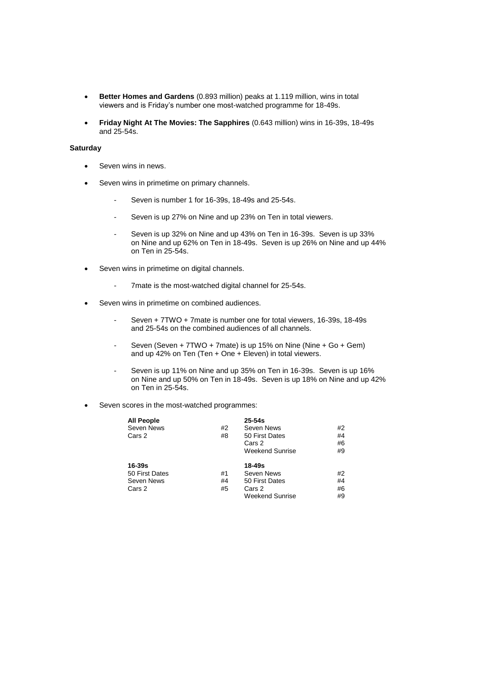- **Better Homes and Gardens** (0.893 million) peaks at 1.119 million, wins in total viewers and is Friday's number one most-watched programme for 18-49s.
- **Friday Night At The Movies: The Sapphires** (0.643 million) wins in 16-39s, 18-49s and 25-54s.

## **Saturday**

- Seven wins in news.
- Seven wins in primetime on primary channels.
	- Seven is number 1 for 16-39s, 18-49s and 25-54s.
	- Seven is up 27% on Nine and up 23% on Ten in total viewers.
	- Seven is up 32% on Nine and up 43% on Ten in 16-39s. Seven is up 33% on Nine and up 62% on Ten in 18-49s. Seven is up 26% on Nine and up 44% on Ten in 25-54s.
- Seven wins in primetime on digital channels.
	- 7mate is the most-watched digital channel for 25-54s.
- Seven wins in primetime on combined audiences.
	- Seven + 7TWO + 7mate is number one for total viewers, 16-39s, 18-49s and 25-54s on the combined audiences of all channels.
	- Seven (Seven + 7TWO + 7mate) is up 15% on Nine (Nine + Go + Gem) and up 42% on Ten (Ten + One + Eleven) in total viewers.
	- Seven is up 11% on Nine and up 35% on Ten in 16-39s. Seven is up 16% on Nine and up 50% on Ten in 18-49s. Seven is up 18% on Nine and up 42% on Ten in 25-54s.
- Seven scores in the most-watched programmes:

| <b>All People</b><br>Seven News<br>Cars 2 | #2<br>#8 | $25 - 54s$<br>Seven News<br>50 First Dates<br>Cars 2<br><b>Weekend Sunrise</b> | #2<br>#4<br>#6<br>#9 |
|-------------------------------------------|----------|--------------------------------------------------------------------------------|----------------------|
| 16-39s                                    |          | 18-49s                                                                         |                      |
| 50 First Dates                            | #1       | Seven News                                                                     | #2                   |
| Seven News                                | #4       | 50 First Dates                                                                 | #4                   |
| Cars 2                                    | #5       | Cars 2                                                                         | #6                   |
|                                           |          | Weekend Sunrise                                                                | #9                   |